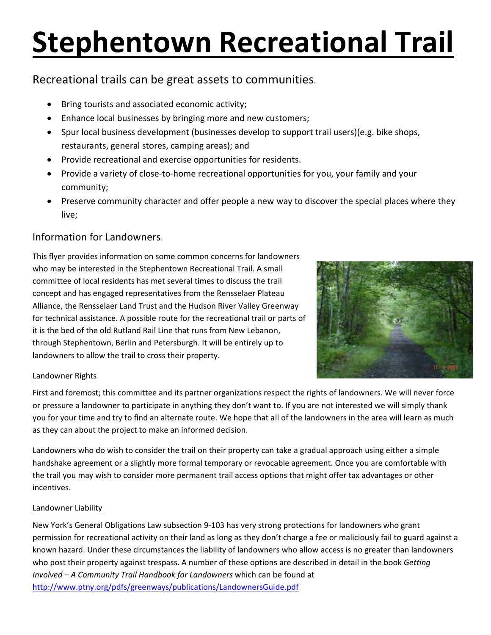# **Stephentown Recreational Trail**

# Recreational trails can be great assets to communities.

- Bring tourists and associated economic activity;
- Enhance local businesses by bringing more and new customers;
- Spur local business development (businesses develop to support trail users)(e.g. bike shops, restaurants, general stores, camping areas); and
- Provide recreational and exercise opportunities for residents.
- Provide a variety of close-to-home recreational opportunities for you, your family and your community;
- Preserve community character and offer people a new way to discover the special places where they live;

# Information for Landowners

This flyer provides information on some common concerns for landowners who may be interested in the Stephentown Recreational Trail. A small committee of local residents has met several times to discuss the trail concept and has engaged representatives from the Rensselaer Plateau Alliance, the Rensselaer Land Trust and the Hudson River Valley Greenway for technical assistance. A possible route for the recreational trail or parts of it is the bed of the old Rutland Rail Line that runs from New Lebanon, through Stephentown, Berlin and Petersburgh. It will be entirely up to landowners to allow the trail to cross their property.



# Landowner Rights

First and foremost; this committee and its partner organizations respect the rights of landowners. We will never force or pressure a landowner to participate in anything they don't want to. If you are not interested we will simply thank you for your time and try to find an alternate route. We hope that all of the landowners in the area will learn as much as they can about the project to make an informed decision.

Landowners who do wish to consider the trail on their property can take a gradual approach using either a simple handshake agreement or a slightly more formal temporary or revocable agreement. Once you are comfortable with the trail you may wish to consider more permanent trail access options that might offer tax advantages or other incentives.

# Landowner Liability

New York's General Obligations Law subsection 9-103 has very strong protections for landowners who grant permission for recreational activity on their land as long as they don't charge a fee or maliciously fail to guard against a known hazard. Under these circumstances the liability of landowners who allow access is no greater than landowners who post their property against trespass. A number of these options are described in detail in the book Getting Involved - A Community Trail Handbook for Landowners which can be found at http://www.ptny.org/pdfs/greenways/publications/LandownersGuide.pdf